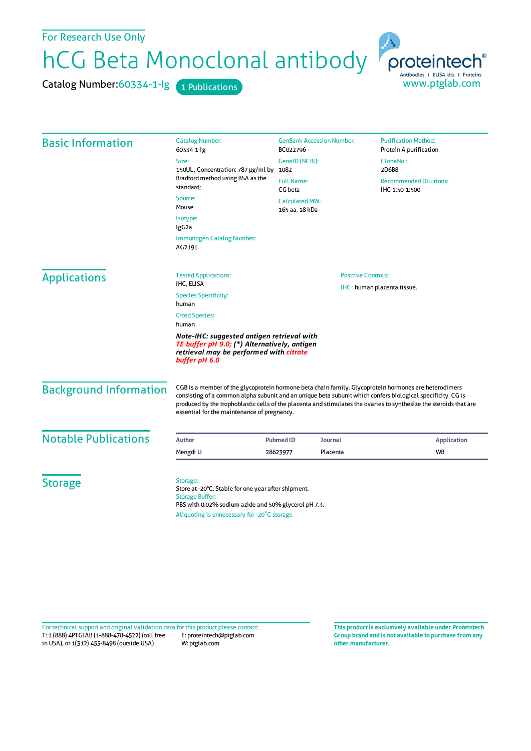For Research Use Only

hCG Beta Monoclonal antibody

Catalog Number: 60334-1-lg 1 Publications



| <b>Basic Information</b>    | <b>Catalog Number:</b><br>60334-1-lg                                                                                                                                                             | <b>GenBank Accession Number:</b><br>BC022796<br>GeneID (NCBI):<br>1082<br><b>Full Name:</b><br>CG beta<br><b>Calculated MW:</b><br>165 aa, 18 kDa |                | <b>Purification Method:</b><br>Protein A purification                 |                               |
|-----------------------------|--------------------------------------------------------------------------------------------------------------------------------------------------------------------------------------------------|---------------------------------------------------------------------------------------------------------------------------------------------------|----------------|-----------------------------------------------------------------------|-------------------------------|
|                             | Size:<br>150UL, Concentration: 787 µg/ml by<br>Bradford method using BSA as the<br>standard;                                                                                                     |                                                                                                                                                   |                | CloneNo.:<br>2D6B8<br><b>Recommended Dilutions:</b><br>IHC 1:50-1:500 |                               |
|                             |                                                                                                                                                                                                  |                                                                                                                                                   |                |                                                                       |                               |
|                             | Source:<br>Mouse                                                                                                                                                                                 |                                                                                                                                                   |                |                                                                       |                               |
|                             | Isotype:<br>IgG <sub>2a</sub>                                                                                                                                                                    |                                                                                                                                                   |                |                                                                       |                               |
|                             | Immunogen Catalog Number:<br>AG2191                                                                                                                                                              |                                                                                                                                                   |                |                                                                       |                               |
| <b>Applications</b>         | <b>Tested Applications:</b><br>IHC, ELISA                                                                                                                                                        | <b>Positive Controls:</b><br>IHC: human placenta tissue,                                                                                          |                |                                                                       |                               |
|                             | <b>Species Specificity:</b><br>human                                                                                                                                                             |                                                                                                                                                   |                |                                                                       |                               |
|                             | <b>Cited Species:</b><br>human<br>Note-IHC: suggested antigen retrieval with<br>TE buffer pH 9.0; (*) Alternatively, antigen<br>retrieval may be performed with citrate<br>buffer pH 6.0         |                                                                                                                                                   |                |                                                                       |                               |
|                             |                                                                                                                                                                                                  |                                                                                                                                                   |                |                                                                       | <b>Background Information</b> |
| <b>Notable Publications</b> | <b>Author</b>                                                                                                                                                                                    | <b>Pubmed ID</b>                                                                                                                                  | <b>Journal</b> | <b>Application</b>                                                    |                               |
|                             | Mengdi Li                                                                                                                                                                                        | 28623977                                                                                                                                          | Placenta       | WB                                                                    |                               |
|                             |                                                                                                                                                                                                  |                                                                                                                                                   |                |                                                                       |                               |
| <b>Storage</b>              | Storage:<br>Store at -20°C. Stable for one year after shipment.<br><b>Storage Buffer:</b><br>PBS with 0.02% sodium azide and 50% glycerol pH 7.3.<br>Aliquoting is unnecessary for -20°C storage |                                                                                                                                                   |                |                                                                       |                               |
|                             |                                                                                                                                                                                                  |                                                                                                                                                   |                |                                                                       |                               |

T: 1 (888) 4PTGLAB (1-888-478-4522) (toll free in USA), or 1(312) 455-8498 (outside USA) E: proteintech@ptglab.com W: ptglab.com Fortechnical support and original validation data forthis product please contact: **This productis exclusively available under Proteintech**

**Group brand and is not available to purchase from any other manufacturer.**